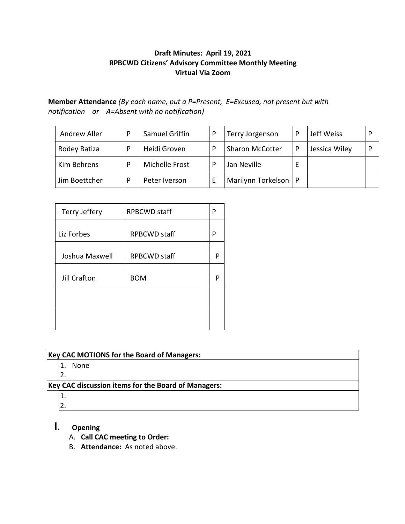#### **Draft Minutes: April 19, 2021 RPBCWD Citizens' Advisory Committee Monthly Meeting Virtual Via Zoom**

**Member Attendance** *(By each name, put a P=Present, E=Excused, not present but with notification or A=Absent with no notification)*

| Andrew Aller  | Samuel Griffin | Terry Jorgenson        |   | Jeff Weiss    |  |
|---------------|----------------|------------------------|---|---------------|--|
| Rodey Batiza  | Heidi Groven   | <b>Sharon McCotter</b> | P | Jessica Wiley |  |
| Kim Behrens   | Michelle Frost | Jan Neville            |   |               |  |
| Jim Boettcher | Peter Iverson  | Marilynn Torkelson     |   |               |  |

| Terry Jeffery  | <b>RPBCWD</b> staff | P |
|----------------|---------------------|---|
| Liz Forbes     | <b>RPBCWD</b> staff | P |
| Joshua Maxwell | <b>RPBCWD</b> staff | P |
| Jill Crafton   | <b>BOM</b>          | P |
|                |                     |   |
|                |                     |   |

#### **Key CAC MOTIONS for the Board of Managers:**

- 1. None
- 2.

## **Key CAC discussion items for the Board of Managers:**

- 1.
- 2.

# **I. Opening**

- A. **Call CAC meeting to Order:**
- B. **Attendance:** As noted above.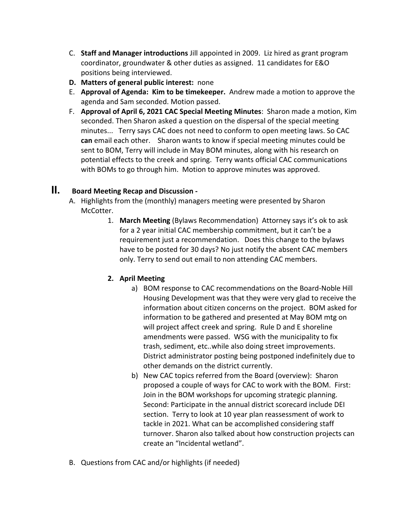- C. **Staff and Manager introductions** Jill appointed in 2009. Liz hired as grant program coordinator, groundwater & other duties as assigned. 11 candidates for E&O positions being interviewed.
- **D. Matters of general public interest:** none
- E. **Approval of Agenda: Kim to be timekeeper.** Andrew made a motion to approve the agenda and Sam seconded. Motion passed.
- F. **Approval of April 6, 2021 CAC Special Meeting Minutes**: Sharon made a motion, Kim seconded. Then Sharon asked a question on the dispersal of the special meeting minutes... Terry says CAC does not need to conform to open meeting laws. So CAC **can** email each other. Sharon wants to know if special meeting minutes could be sent to BOM, Terry will include in May BOM minutes, along with his research on potential effects to the creek and spring. Terry wants official CAC communications with BOMs to go through him. Motion to approve minutes was approved.

### **II. Board Meeting Recap and Discussion -**

- A. Highlights from the (monthly) managers meeting were presented by Sharon McCotter.
	- 1. **March Meeting** (Bylaws Recommendation) Attorney says it's ok to ask for a 2 year initial CAC membership commitment, but it can't be a requirement just a recommendation. Does this change to the bylaws have to be posted for 30 days? No just notify the absent CAC members only. Terry to send out email to non attending CAC members.

#### **2. April Meeting**

- a) BOM response to CAC recommendations on the Board-Noble Hill Housing Development was that they were very glad to receive the information about citizen concerns on the project. BOM asked for information to be gathered and presented at May BOM mtg on will project affect creek and spring. Rule D and E shoreline amendments were passed. WSG with the municipality to fix trash, sediment, etc..while also doing street improvements. District administrator posting being postponed indefinitely due to other demands on the district currently.
- b) New CAC topics referred from the Board (overview): Sharon proposed a couple of ways for CAC to work with the BOM. First: Join in the BOM workshops for upcoming strategic planning. Second: Participate in the annual district scorecard include DEI section. Terry to look at 10 year plan reassessment of work to tackle in 2021. What can be accomplished considering staff turnover. Sharon also talked about how construction projects can create an "Incidental wetland".
- B. Questions from CAC and/or highlights (if needed)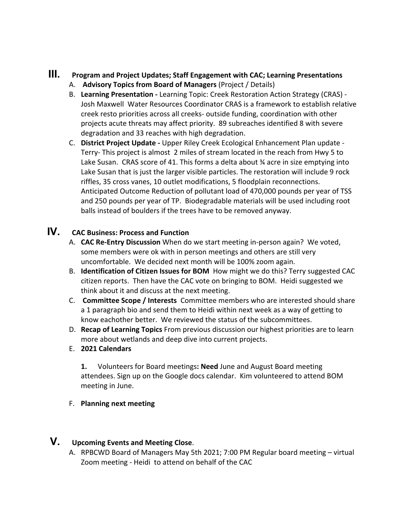### **III. Program and Project Updates; Staff Engagement with CAC; Learning Presentations** A. **Advisory Topics from Board of Managers** (Project / Details)

- B. **Learning Presentation -** Learning Topic: Creek Restoration Action Strategy (CRAS) Josh Maxwell Water Resources Coordinator CRAS is a framework to establish relative creek resto priorities across all creeks- outside funding, coordination with other projects acute threats may affect priority. 89 subreaches identified 8 with severe degradation and 33 reaches with high degradation.
- C. **District Project Update -** Upper Riley Creek Ecological Enhancement Plan update Terry- This project is almost 2 miles of stream located in the reach from Hwy 5 to Lake Susan. CRAS score of 41. This forms a delta about ¾ acre in size emptying into Lake Susan that is just the larger visible particles. The restoration will include 9 rock riffles, 35 cross vanes, 10 outlet modifications, 5 floodplain reconnections. Anticipated Outcome Reduction of pollutant load of 470,000 pounds per year of TSS and 250 pounds per year of TP. Biodegradable materials will be used including root balls instead of boulders if the trees have to be removed anyway.

## **IV. CAC Business: Process and Function**

- A. **CAC Re-Entry Discussion** When do we start meeting in-person again? We voted, some members were ok with in person meetings and others are still very uncomfortable. We decided next month will be 100% zoom again.
- B. **Identification of Citizen Issues for BOM** How might we do this? Terry suggested CAC citizen reports. Then have the CAC vote on bringing to BOM. Heidi suggested we think about it and discuss at the next meeting.
- C. **Committee Scope / Interests** Committee members who are interested should share a 1 paragraph bio and send them to Heidi within next week as a way of getting to know eachother better. We reviewed the status of the subcommittees.
- D. **Recap of Learning Topics** From previous discussion our highest priorities are to learn more about wetlands and deep dive into current projects.
- E. **2021 Calendars**

**1.** Volunteers for Board meetings**: Need** June and August Board meeting attendees. Sign up on the Google docs calendar. Kim volunteered to attend BOM meeting in June.

F. **Planning next meeting**

# **V. Upcoming Events and Meeting Close**.

A. RPBCWD Board of Managers May 5th 2021; 7:00 PM Regular board meeting – virtual Zoom meeting - Heidi to attend on behalf of the CAC